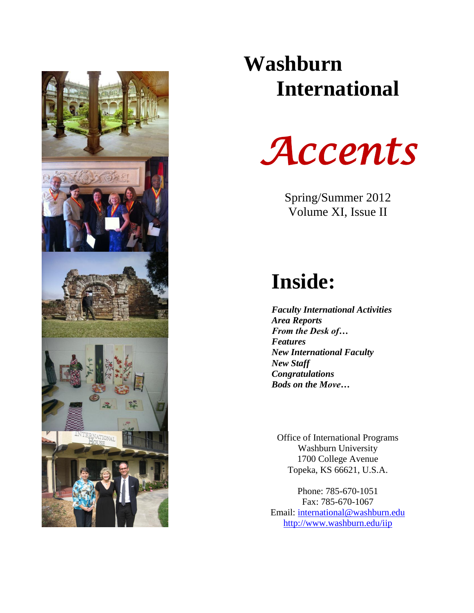

# **Washburn International**



Spring/Summer 2012 Volume XI, Issue II

# **Inside:**

*Faculty International Activities Area Reports From the Desk of… Features New International Faculty New Staff Congratulations Bods on the Move…*

Office of International Programs Washburn University 1700 College Avenue Topeka, KS 66621, U.S.A.

Phone: 785-670-1051 Fax: 785-670-1067 Email: [international@washburn.edu](mailto:international@washburn.edu) <http://www.washburn.edu/iip>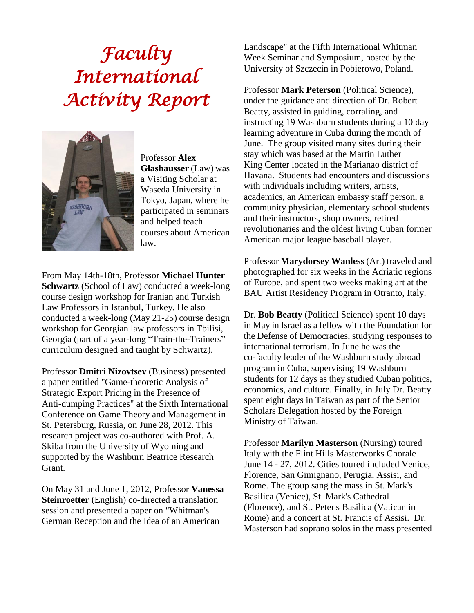# *Faculty International Activity Report*



Professor **Alex Glashausser** (Law) was a Visiting Scholar at Waseda University in Tokyo, Japan, where he participated in seminars and helped teach courses about American law.

From May 14th-18th, Professor **Michael Hunter Schwartz** (School of Law) conducted a week-long course design workshop for Iranian and Turkish Law Professors in Istanbul, Turkey. He also conducted a week-long (May 21-25) course design workshop for Georgian law professors in Tbilisi, Georgia (part of a year-long "Train-the-Trainers" curriculum designed and taught by Schwartz).

Professor **Dmitri Nizovtsev** (Business) presented a paper entitled "Game-theoretic Analysis of Strategic Export Pricing in the Presence of Anti-dumping Practices" at the Sixth International Conference on Game Theory and Management in St. Petersburg, Russia, on June 28, 2012. This research project was co-authored with Prof. A. Skiba from the University of Wyoming and supported by the Washburn Beatrice Research Grant.

On May 31 and June 1, 2012, Professor **Vanessa Steinroetter** (English) co-directed a translation session and presented a paper on "Whitman's German Reception and the Idea of an American

Landscape" at the Fifth International Whitman Week Seminar and Symposium, hosted by the University of Szczecin in Pobierowo, Poland.

Professor **Mark Peterson** (Political Science), under the guidance and direction of Dr. Robert Beatty, assisted in guiding, corraling, and instructing 19 Washburn students during a 10 day learning adventure in Cuba during the month of June. The group visited many sites during their stay which was based at the Martin Luther King Center located in the Marianao district of Havana. Students had encounters and discussions with individuals including writers, artists, academics, an American embassy staff person, a community physician, elementary school students and their instructors, shop owners, retired revolutionaries and the oldest living Cuban former American major league baseball player.

Professor **Marydorsey Wanless** (Art) traveled and photographed for six weeks in the Adriatic regions of Europe, and spent two weeks making art at the BAU Artist Residency Program in Otranto, Italy.

Dr. **Bob Beatty** (Political Science) spent 10 days in May in Israel as a fellow with the Foundation for the Defense of Democracies, studying responses to international terrorism. In June he was the co-faculty leader of the Washburn study abroad program in Cuba, supervising 19 Washburn students for 12 days as they studied Cuban politics, economics, and culture. Finally, in July Dr. Beatty spent eight days in Taiwan as part of the Senior Scholars Delegation hosted by the Foreign Ministry of Taiwan.

Professor **Marilyn Masterson** (Nursing) toured Italy with the Flint Hills Masterworks Chorale June 14 - 27, 2012. Cities toured included Venice, Florence, San Gimignano, Perugia, Assisi, and Rome. The group sang the mass in St. Mark's Basilica (Venice), St. Mark's Cathedral (Florence), and St. Peter's Basilica (Vatican in Rome) and a concert at St. Francis of Assisi. Dr. Masterson had soprano solos in the mass presented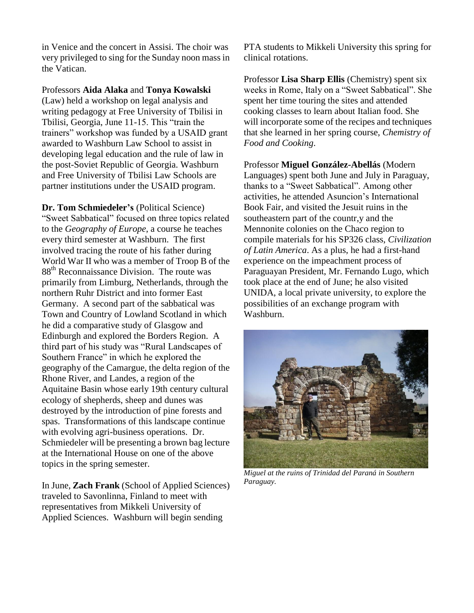in Venice and the concert in Assisi. The choir was very privileged to sing for the Sunday noon mass in the Vatican.

Professors **Aida Alaka** and **Tonya Kowalski** (Law) held a workshop on legal analysis and writing pedagogy at Free University of Tbilisi in Tbilisi, Georgia, June 11-15. This "train the trainers" workshop was funded by a USAID grant awarded to Washburn Law School to assist in developing legal education and the rule of law in the post-Soviet Republic of Georgia. Washburn and Free University of Tbilisi Law Schools are partner institutions under the USAID program.

**Dr. Tom Schmiedeler's** (Political Science) "Sweet Sabbatical" focused on three topics related to the *Geography of Europe*, a course he teaches every third semester at Washburn. The first involved tracing the route of his father during World War II who was a member of Troop B of the 88<sup>th</sup> Reconnaissance Division. The route was primarily from Limburg, Netherlands, through the northern Ruhr District and into former East Germany. A second part of the sabbatical was Town and Country of Lowland Scotland in which he did a comparative study of Glasgow and Edinburgh and explored the Borders Region. A third part of his study was "Rural Landscapes of Southern France" in which he explored the geography of the Camargue, the delta region of the Rhone River, and Landes, a region of the Aquitaine Basin whose early 19th century cultural ecology of shepherds, sheep and dunes was destroyed by the introduction of pine forests and spas. Transformations of this landscape continue with evolving agri-business operations. Dr. Schmiedeler will be presenting a brown bag lecture at the International House on one of the above topics in the spring semester.

In June, **Zach Frank** (School of Applied Sciences) traveled to Savonlinna, Finland to meet with representatives from Mikkeli University of Applied Sciences. Washburn will begin sending

PTA students to Mikkeli University this spring for clinical rotations.

Professor **Lisa Sharp Ellis** (Chemistry) spent six weeks in Rome, Italy on a "Sweet Sabbatical". She spent her time touring the sites and attended cooking classes to learn about Italian food. She will incorporate some of the recipes and techniques that she learned in her spring course, *Chemistry of Food and Cooking*.

Professor **Miguel González-Abellás** (Modern Languages) spent both June and July in Paraguay, thanks to a "Sweet Sabbatical". Among other activities, he attended Asuncion's International Book Fair, and visited the Jesuit ruins in the southeastern part of the countr,y and the Mennonite colonies on the Chaco region to compile materials for his SP326 class, *Civilization of Latin America*. As a plus, he had a first-hand experience on the impeachment process of Paraguayan President, Mr. Fernando Lugo, which took place at the end of June; he also visited UNIDA, a local private university, to explore the possibilities of an exchange program with Washburn.



*Miguel at the ruins of Trinidad del Paraná in Southern Paraguay.*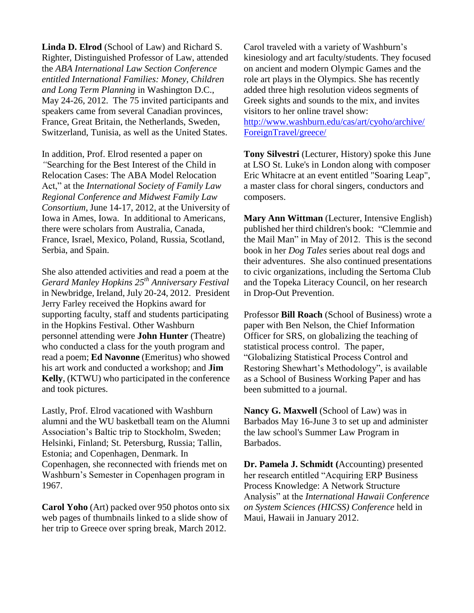**Linda D. Elrod** (School of Law) and Richard S. Righter, Distinguished Professor of Law, attended the *ABA International Law Section Conference entitled International Families: Money, Children and Long Term Planning* in Washington D.C., May 24-26, 2012. The 75 invited participants and speakers came from several Canadian provinces, France, Great Britain, the Netherlands, Sweden, Switzerland, Tunisia, as well as the United States.

In addition, Prof. Elrod resented a paper on *"*Searching for the Best Interest of the Child in Relocation Cases: The ABA Model Relocation Act," at the *International Society of Family Law Regional Conference and Midwest Family Law Consortium*, June 14-17, 2012, at the University of Iowa in Ames, Iowa. In additional to Americans, there were scholars from Australia, Canada, France, Israel, Mexico, Poland, Russia, Scotland, Serbia, and Spain.

She also attended activities and read a poem at the *Gerard Manley Hopkins 25th Anniversary Festival* in Newbridge, Ireland, July 20-24, 2012. President Jerry Farley received the Hopkins award for supporting faculty, staff and students participating in the Hopkins Festival. Other Washburn personnel attending were **John Hunter** (Theatre) who conducted a class for the youth program and read a poem; **Ed Navonne** (Emeritus) who showed his art work and conducted a workshop; and **Jim Kelly**, (KTWU) who participated in the conference and took pictures.

Lastly, Prof. Elrod vacationed with Washburn alumni and the WU basketball team on the Alumni Association's Baltic trip to Stockholm, Sweden; Helsinki, Finland; St. Petersburg, Russia; Tallin, Estonia; and Copenhagen, Denmark. In Copenhagen, she reconnected with friends met on Washburn's Semester in Copenhagen program in 1967.

**Carol Yoho** (Art) packed over 950 photos onto six web pages of thumbnails linked to a slide show of her trip to Greece over spring break, March 2012.

Carol traveled with a variety of Washburn's kinesiology and art faculty/students. They focused on ancient and modern Olympic Games and the role art plays in the Olympics. She has recently added three high resolution videos segments of Greek sights and sounds to the mix, and invites visitors to her online travel show:

[http://www.washburn.edu/cas/art/cyoho/archive/](http://www.washburn.edu/cas/art/cyoho/archive/%20ForeignTravel/greece/)  [ForeignTravel/greece/](http://www.washburn.edu/cas/art/cyoho/archive/%20ForeignTravel/greece/)

**Tony Silvestri** (Lecturer, History) spoke this June at LSO St. Luke's in London along with composer Eric Whitacre at an event entitled "Soaring Leap", a master class for choral singers, conductors and composers.

**Mary Ann Wittman** (Lecturer, Intensive English) published her third children's book: "Clemmie and the Mail Man" in May of 2012. This is the second book in her *Dog Tales* series about real dogs and their adventures. She also continued presentations to civic organizations, including the Sertoma Club and the Topeka Literacy Council, on her research in Drop-Out Prevention.

Professor **Bill Roach** (School of Business) wrote a paper with Ben Nelson, the Chief Information Officer for SRS, on globalizing the teaching of statistical process control. The paper, "Globalizing Statistical Process Control and Restoring Shewhart's Methodology", is available as a School of Business Working Paper and has been submitted to a journal.

**Nancy G. Maxwell** (School of Law) was in Barbados May 16-June 3 to set up and administer the law school's Summer Law Program in Barbados.

**Dr. Pamela J. Schmidt (**Accounting) presented her research entitled "Acquiring ERP Business Process Knowledge: A Network Structure Analysis" at the *International Hawaii Conference on System Sciences (HICSS) Conference* held in Maui, Hawaii in January 2012.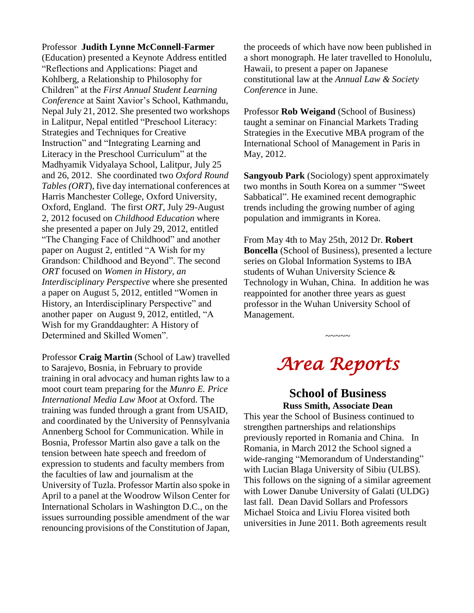#### Professor **Judith Lynne McConnell-Farmer**

(Education) presented a Keynote Address entitled "Reflections and Applications: Piaget and Kohlberg, a Relationship to Philosophy for Children" at the *First Annual Student Learning Conference* at Saint Xavior's School, Kathmandu, Nepal July 21, 2012. She presented two workshops in Lalitpur, Nepal entitled "Preschool Literacy: Strategies and Techniques for Creative Instruction" and "Integrating Learning and Literacy in the Preschool Curriculum" at the Madhyamik Vidyalaya School, Lalitpur, July 25 and 26, 2012. She coordinated two *Oxford Round Tables (ORT*), five day international conferences at Harris Manchester College, Oxford University, Oxford, England. The first *ORT*, July 29-August 2, 2012 focused on *Childhood Education* where she presented a paper on July 29, 2012, entitled "The Changing Face of Childhood" and another paper on August 2, entitled "A Wish for my Grandson: Childhood and Beyond". The second *ORT* focused on *Women in History, an Interdisciplinary Perspective* where she presented a paper on August 5, 2012, entitled "Women in History, an Interdisciplinary Perspective" and another paper on August 9, 2012, entitled, "A Wish for my Granddaughter: A History of Determined and Skilled Women".

Professor **Craig Martin** (School of Law) travelled to Sarajevo, Bosnia, in February to provide training in oral advocacy and human rights law to a moot court team preparing for the *Munro E. Price International Media Law Moot* at Oxford. The training was funded through a grant from USAID, and coordinated by the University of Pennsylvania Annenberg School for Communication. While in Bosnia, Professor Martin also gave a talk on the tension between hate speech and freedom of expression to students and faculty members from the faculties of law and journalism at the University of Tuzla. Professor Martin also spoke in April to a panel at the Woodrow Wilson Center for International Scholars in Washington D.C., on the issues surrounding possible amendment of the war renouncing provisions of the Constitution of Japan,

the proceeds of which have now been published in a short monograph. He later travelled to Honolulu, Hawaii, to present a paper on Japanese constitutional law at the *Annual Law & Society Conference* in June.

Professor **Rob Weigand** (School of Business) taught a seminar on Financial Markets Trading Strategies in the Executive MBA program of the International School of Management in Paris in May, 2012.

**Sangyoub Park** (Sociology) spent approximately two months in South Korea on a summer "Sweet Sabbatical". He examined recent demographic trends including the growing number of aging population and immigrants in Korea.

From May 4th to May 25th, 2012 Dr. **Robert Boncella** (School of Business), presented a lecture series on Global Information Systems to IBA students of Wuhan University Science & Technology in Wuhan, China. In addition he was reappointed for another three years as guest professor in the Wuhan University School of Management.

# *Area Reports*

~~~~~

#### **School of Business Russ Smith, Associate Dean**

This year the School of Business continued to strengthen partnerships and relationships previously reported in Romania and China. In Romania, in March 2012 the School signed a wide-ranging "Memorandum of Understanding" with Lucian Blaga University of Sibiu (ULBS). This follows on the signing of a similar agreement with Lower Danube University of Galati (ULDG) last fall. Dean David Sollars and Professors Michael Stoica and Liviu Florea visited both universities in June 2011. Both agreements result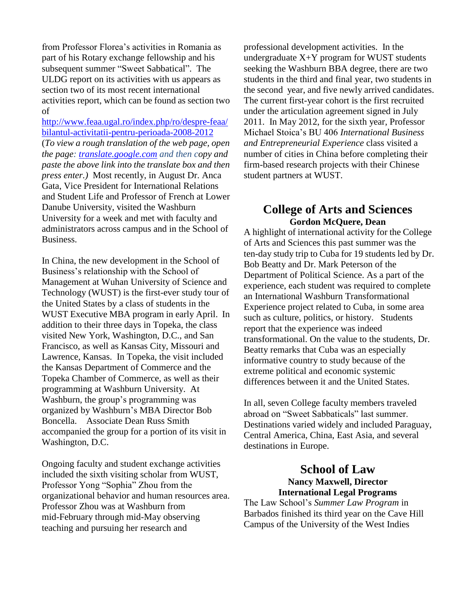from Professor Florea's activities in Romania as part of his Rotary exchange fellowship and his subsequent summer "Sweet Sabbatical". The ULDG report on its activities with us appears as section two of its most recent international activities report, which can be found as section two of

[http://www.feaa.ugal.ro/index.php/ro/despre-feaa/](http://www.feaa.ugal.ro/index.php/ro/despre-feaa/bilantul-activitatii-pentru-perioada-2008-2012) [bilantul-activitatii-pentru-perioada-2008-2012](http://www.feaa.ugal.ro/index.php/ro/despre-feaa/bilantul-activitatii-pentru-perioada-2008-2012)  (*To view a rough translation of the web page, open the page: [translate.google.com](http://translate.google.com/) and then copy and paste the above link into the translate box and then press enter.)*Most recently, in August Dr. Anca Gata, Vice President for International Relations and Student Life and Professor of French at Lower Danube University, visited the Washburn University for a week and met with faculty and administrators across campus and in the School of Business.

In China, the new development in the School of Business's relationship with the School of Management at Wuhan University of Science and Technology (WUST) is the first-ever study tour of the United States by a class of students in the WUST Executive MBA program in early April. In addition to their three days in Topeka, the class visited New York, Washington, D.C., and San Francisco, as well as Kansas City, Missouri and Lawrence, Kansas. In Topeka, the visit included the Kansas Department of Commerce and the Topeka Chamber of Commerce, as well as their programming at Washburn University. At Washburn, the group's programming was organized by Washburn's MBA Director Bob Boncella. Associate Dean Russ Smith accompanied the group for a portion of its visit in Washington, D.C.

Ongoing faculty and student exchange activities included the sixth visiting scholar from WUST, Professor Yong "Sophia" Zhou from the organizational behavior and human resources area. Professor Zhou was at Washburn from mid-February through mid-May observing teaching and pursuing her research and

professional development activities. In the undergraduate X+Y program for WUST students seeking the Washburn BBA degree, there are two students in the third and final year, two students in the second year, and five newly arrived candidates. The current first-year cohort is the first recruited under the articulation agreement signed in July 2011. In May 2012, for the sixth year, Professor Michael Stoica's BU 406 *International Business and Entrepreneurial Experience* class visited a number of cities in China before completing their firm-based research projects with their Chinese student partners at WUST.

### **College of Arts and Sciences Gordon McQuere, Dean**

A highlight of international activity for the College of Arts and Sciences this past summer was the ten-day study trip to Cuba for 19 students led by Dr. Bob Beatty and Dr. Mark Peterson of the Department of Political Science. As a part of the experience, each student was required to complete an International Washburn Transformational Experience project related to Cuba, in some area such as culture, politics, or history. Students report that the experience was indeed transformational. On the value to the students, Dr. Beatty remarks that Cuba was an especially informative country to study because of the extreme political and economic systemic differences between it and the United States.

In all, seven College faculty members traveled abroad on "Sweet Sabbaticals" last summer. Destinations varied widely and included Paraguay, Central America, China, East Asia, and several destinations in Europe.

### **School of Law Nancy Maxwell, Director International Legal Programs**

The Law School's *Summer Law Program* in Barbados finished its third year on the Cave Hill Campus of the University of the West Indies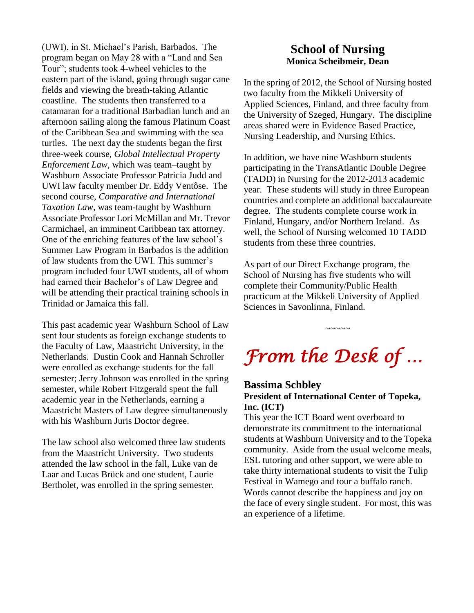(UWI), in St. Michael's Parish, Barbados. The program began on May 28 with a "Land and Sea Tour"; students took 4-wheel vehicles to the eastern part of the island, going through sugar cane fields and viewing the breath-taking Atlantic coastline. The students then transferred to a catamaran for a traditional Barbadian lunch and an afternoon sailing along the famous Platinum Coast of the Caribbean Sea and swimming with the sea turtles. The next day the students began the first three-week course, *Global Intellectual Property Enforcement Law*, which was team–taught by Washburn Associate Professor Patricia Judd and UWI law faculty member Dr. Eddy Ventôse. The second course, *Comparative and International Taxation Law*, was team-taught by Washburn Associate Professor Lori McMillan and Mr. Trevor Carmichael, an imminent Caribbean tax attorney. One of the enriching features of the law school's Summer Law Program in Barbados is the addition of law students from the UWI. This summer's program included four UWI students, all of whom had earned their Bachelor's of Law Degree and will be attending their practical training schools in Trinidad or Jamaica this fall.

This past academic year Washburn School of Law sent four students as foreign exchange students to the Faculty of Law, Maastricht University, in the Netherlands. Dustin Cook and Hannah Schroller were enrolled as exchange students for the fall semester; Jerry Johnson was enrolled in the spring semester, while Robert Fitzgerald spent the full academic year in the Netherlands, earning a Maastricht Masters of Law degree simultaneously with his Washburn Juris Doctor degree.

The law school also welcomed three law students from the Maastricht University. Two students attended the law school in the fall, Luke van de Laar and Lucas Brück and one student, Laurie Bertholet, was enrolled in the spring semester.

### **School of Nursing Monica Scheibmeir, Dean**

In the spring of 2012, the School of Nursing hosted two faculty from the Mikkeli University of Applied Sciences, Finland, and three faculty from the University of Szeged, Hungary. The discipline areas shared were in Evidence Based Practice, Nursing Leadership, and Nursing Ethics.

In addition, we have nine Washburn students participating in the TransAtlantic Double Degree (TADD) in Nursing for the 2012-2013 academic year. These students will study in three European countries and complete an additional baccalaureate degree. The students complete course work in Finland, Hungary, and/or Northern Ireland. As well, the School of Nursing welcomed 10 TADD students from these three countries.

As part of our Direct Exchange program, the School of Nursing has five students who will complete their Community/Public Health practicum at the Mikkeli University of Applied Sciences in Savonlinna, Finland.

# *From the Desk of …*

~~~~~

### **Bassima Schbley President of International Center of Topeka, Inc. (ICT)**

This year the ICT Board went overboard to demonstrate its commitment to the international students at Washburn University and to the Topeka community. Aside from the usual welcome meals, ESL tutoring and other support, we were able to take thirty international students to visit the Tulip Festival in Wamego and tour a buffalo ranch. Words cannot describe the happiness and joy on the face of every single student. For most, this was an experience of a lifetime.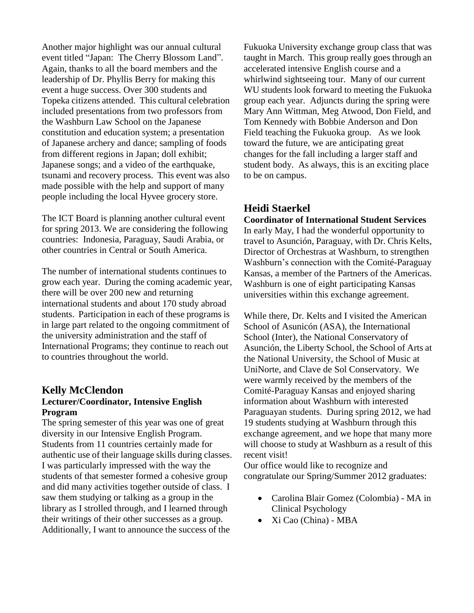Another major highlight was our annual cultural event titled "Japan: The Cherry Blossom Land". Again, thanks to all the board members and the leadership of Dr. Phyllis Berry for making this event a huge success. Over 300 students and Topeka citizens attended. This cultural celebration included presentations from two professors from the Washburn Law School on the Japanese constitution and education system; a presentation of Japanese archery and dance; sampling of foods from different regions in Japan; doll exhibit; Japanese songs; and a video of the earthquake, tsunami and recovery process. This event was also made possible with the help and support of many people including the local Hyvee grocery store.

The ICT Board is planning another cultural event for spring 2013. We are considering the following countries: Indonesia, Paraguay, Saudi Arabia, or other countries in Central or South America.

The number of international students continues to grow each year. During the coming academic year, there will be over 200 new and returning international students and about 170 study abroad students. Participation in each of these programs is in large part related to the ongoing commitment of the university administration and the staff of International Programs; they continue to reach out to countries throughout the world.

#### **Kelly McClendon Lecturer/Coordinator, Intensive English Program**

The spring semester of this year was one of great diversity in our Intensive English Program. Students from 11 countries certainly made for authentic use of their language skills during classes. I was particularly impressed with the way the students of that semester formed a cohesive group and did many activities together outside of class. I saw them studying or talking as a group in the library as I strolled through, and I learned through their writings of their other successes as a group. Additionally, I want to announce the success of the

Fukuoka University exchange group class that was taught in March. This group really goes through an accelerated intensive English course and a whirlwind sightseeing tour. Many of our current WU students look forward to meeting the Fukuoka group each year. Adjuncts during the spring were Mary Ann Wittman, Meg Atwood, Don Field, and Tom Kennedy with Bobbie Anderson and Don Field teaching the Fukuoka group. As we look toward the future, we are anticipating great changes for the fall including a larger staff and student body. As always, this is an exciting place to be on campus.

### **Heidi Staerkel**

**Coordinator of International Student Services**  In early May, I had the wonderful opportunity to travel to Asunción, Paraguay, with Dr. Chris Kelts, Director of Orchestras at Washburn, to strengthen Washburn's connection with the Comité-Paraguay Kansas, a member of the Partners of the Americas. Washburn is one of eight participating Kansas universities within this exchange agreement.

While there, Dr. Kelts and I visited the American School of Asunicón (ASA), the International School (Inter), the National Conservatory of Asunción, the Liberty School, the School of Arts at the National University, the School of Music at UniNorte, and Clave de Sol Conservatory. We were warmly received by the members of the Comité-Paraguay Kansas and enjoyed sharing information about Washburn with interested Paraguayan students. During spring 2012, we had 19 students studying at Washburn through this exchange agreement, and we hope that many more will choose to study at Washburn as a result of this recent visit!

Our office would like to recognize and congratulate our Spring/Summer 2012 graduates:

- Carolina Blair Gomez (Colombia) MA in Clinical Psychology
- Xi Cao (China) MBA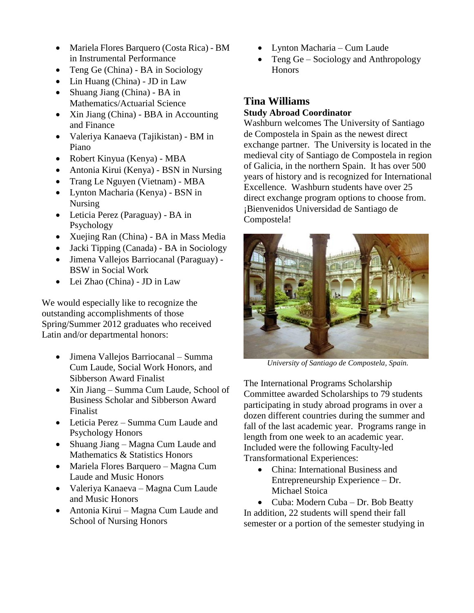- Mariela Flores Barquero (Costa Rica) BM in Instrumental Performance
- Teng Ge (China) BA in Sociology
- Lin Huang (China) JD in Law
- Shuang Jiang (China) BA in Mathematics/Actuarial Science
- Xin Jiang (China) BBA in Accounting and Finance
- Valeriya Kanaeva (Tajikistan) BM in Piano
- Robert Kinyua (Kenya) MBA
- Antonia Kirui (Kenya) BSN in Nursing
- Trang Le Nguyen (Vietnam) MBA
- Lynton Macharia (Kenya) BSN in Nursing
- Leticia Perez (Paraguay) BA in Psychology
- Xuejing Ran (China) BA in Mass Media
- Jacki Tipping (Canada) BA in Sociology
- Jimena Vallejos Barriocanal (Paraguay) BSW in Social Work
- Lei Zhao (China) JD in Law

We would especially like to recognize the outstanding accomplishments of those Spring/Summer 2012 graduates who received Latin and/or departmental honors:

- Jimena Vallejos Barriocanal Summa Cum Laude, Social Work Honors, and Sibberson Award Finalist
- Xin Jiang Summa Cum Laude, School of Business Scholar and Sibberson Award Finalist
- Leticia Perez Summa Cum Laude and Psychology Honors
- Shuang Jiang Magna Cum Laude and Mathematics & Statistics Honors
- Mariela Flores Barquero Magna Cum Laude and Music Honors
- Valeriya Kanaeva Magna Cum Laude and Music Honors
- Antonia Kirui Magna Cum Laude and School of Nursing Honors
- Lynton Macharia Cum Laude
- Teng Ge Sociology and Anthropology **Honors**

### **Tina Williams Study Abroad Coordinator**

Washburn welcomes The University of Santiago de Compostela in Spain as the newest direct exchange partner. The University is located in the medieval city of Santiago de Compostela in region of Galicia, in the northern Spain. It has over 500 years of history and is recognized for International Excellence. Washburn students have over 25 direct exchange program options to choose from. ¡Bienvenidos Universidad de Santiago de Compostela!



*University of Santiago de Compostela, Spain.*

The International Programs Scholarship Committee awarded Scholarships to 79 students participating in study abroad programs in over a dozen different countries during the summer and fall of the last academic year. Programs range in length from one week to an academic year. Included were the following Faculty-led Transformational Experiences:

• China: International Business and Entrepreneurship Experience – Dr. Michael Stoica

• Cuba: Modern Cuba – Dr. Bob Beatty In addition, 22 students will spend their fall semester or a portion of the semester studying in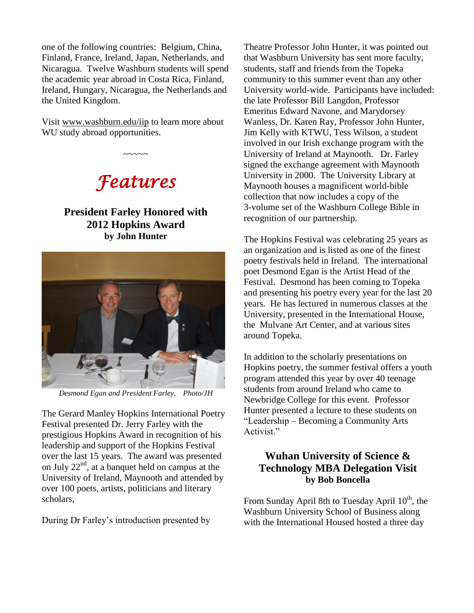one of the following countries: Belgium, China, Finland, France, Ireland, Japan, Netherlands, and Nicaragua. Twelve Washburn students will spend the academic year abroad in Costa Rica, Finland, Ireland, Hungary, Nicaragua, the Netherlands and the United Kingdom.

Visit www.washburn.edu/iip to learn more about WU study abroad opportunities.



 $\sim$ ~~~

### **President Farley Honored with 2012 Hopkins Award by John Hunter**



*Desmond Egan and President Farley. Photo/JH*

The Gerard Manley Hopkins International Poetry Festival presented Dr. Jerry Farley with the prestigious Hopkins Award in recognition of his leadership and support of the Hopkins Festival over the last 15 years. The award was presented on July 22nd, at a banquet held on campus at the University of Ireland, Maynooth and attended by over 100 poets, artists, politicians and literary scholars,

During Dr Farley's introduction presented by

Theatre Professor John Hunter, it was pointed out that Washburn University has sent more faculty, students, staff and friends from the Topeka community to this summer event than any other University world-wide. Participants have included: the late Professor Bill Langdon, Professor Emeritus Edward Navone, and Marydorsey Wanless, Dr. Karen Ray, Professor John Hunter, Jim Kelly with KTWU, Tess Wilson, a student involved in our Irish exchange program with the University of Ireland at Maynooth. Dr. Farley signed the exchange agreement with Maynooth University in 2000. The University Library at Maynooth houses a magnificent world-bible collection that now includes a copy of the 3-volume set of the Washburn College Bible in recognition of our partnership.

The Hopkins Festival was celebrating 25 years as an organization and is listed as one of the finest poetry festivals held in Ireland. The international poet Desmond Egan is the Artist Head of the Festival. Desmond has been coming to Topeka and presenting his poetry every year for the last 20 years. He has lectured in numerous classes at the University, presented in the International House, the Mulvane Art Center, and at various sites around Topeka.

In addition to the scholarly presentations on Hopkins poetry, the summer festival offers a youth program attended this year by over 40 teenage students from around Ireland who came to Newbridge College for this event. Professor Hunter presented a lecture to these students on "Leadership – Becoming a Community Arts Activist."

### **Wuhan University of Science & Technology MBA Delegation Visit by Bob Boncella**

From Sunday April 8th to Tuesday April 10<sup>th</sup>, the Washburn University School of Business along with the International Housed hosted a three day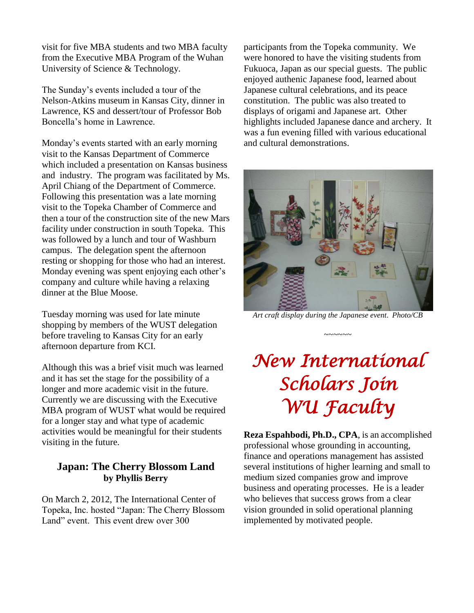visit for five MBA students and two MBA faculty from the Executive MBA Program of the Wuhan University of Science & Technology.

The Sunday's events included a tour of the Nelson-Atkins museum in Kansas City, dinner in Lawrence, KS and dessert/tour of Professor Bob Boncella's home in Lawrence.

Monday's events started with an early morning visit to the Kansas Department of Commerce which included a presentation on Kansas business and industry. The program was facilitated by Ms. April Chiang of the Department of Commerce. Following this presentation was a late morning visit to the Topeka Chamber of Commerce and then a tour of the construction site of the new Mars facility under construction in south Topeka. This was followed by a lunch and tour of Washburn campus. The delegation spent the afternoon resting or shopping for those who had an interest. Monday evening was spent enjoying each other's company and culture while having a relaxing dinner at the Blue Moose.

Tuesday morning was used for late minute shopping by members of the WUST delegation before traveling to Kansas City for an early afternoon departure from KCI.

Although this was a brief visit much was learned and it has set the stage for the possibility of a longer and more academic visit in the future. Currently we are discussing with the Executive MBA program of WUST what would be required for a longer stay and what type of academic activities would be meaningful for their students visiting in the future.

### **Japan: The Cherry Blossom Land by Phyllis Berry**

On March 2, 2012, The International Center of Topeka, Inc. hosted "Japan: The Cherry Blossom Land" event. This event drew over 300

participants from the Topeka community. We were honored to have the visiting students from Fukuoca, Japan as our special guests. The public enjoyed authenic Japanese food, learned about Japanese cultural celebrations, and its peace constitution. The public was also treated to displays of origami and Japanese art. Other highlights included Japanese dance and archery. It was a fun evening filled with various educational and cultural demonstrations.



*Art craft display during the Japanese event. Photo/CB*

~~~~~~

# *New International Scholars Join WU Faculty*

**Reza Espahbodi, Ph.D., CPA**, is an accomplished professional whose grounding in accounting, finance and operations management has assisted several institutions of higher learning and small to medium sized companies grow and improve business and operating processes. He is a leader who believes that success grows from a clear vision grounded in solid operational planning implemented by motivated people.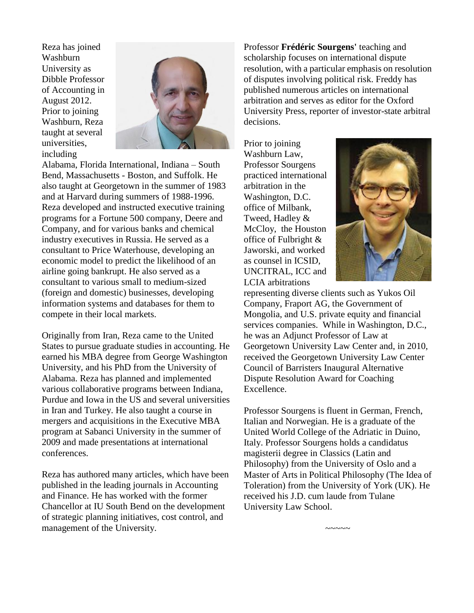Reza has joined Washburn University as Dibble Professor of Accounting in August 2012. Prior to joining Washburn, Reza taught at several universities, including



Alabama, Florida International, Indiana – South Bend, Massachusetts - Boston, and Suffolk. He also taught at Georgetown in the summer of 1983 and at Harvard during summers of 1988-1996. Reza developed and instructed executive training programs for a Fortune 500 company, Deere and Company, and for various banks and chemical industry executives in Russia. He served as a consultant to Price Waterhouse, developing an economic model to predict the likelihood of an airline going bankrupt. He also served as a consultant to various small to medium-sized (foreign and domestic) businesses, developing information systems and databases for them to compete in their local markets.

Originally from Iran, Reza came to the United States to pursue graduate studies in accounting. He earned his MBA degree from George Washington University, and his PhD from the University of Alabama. Reza has planned and implemented various collaborative programs between Indiana, Purdue and Iowa in the US and several universities in Iran and Turkey. He also taught a course in mergers and acquisitions in the Executive MBA program at Sabanci University in the summer of 2009 and made presentations at international conferences.

Reza has authored many articles, which have been published in the leading journals in Accounting and Finance. He has worked with the former Chancellor at IU South Bend on the development of strategic planning initiatives, cost control, and management of the University.

Professor **Frédéric Sourgens'** teaching and scholarship focuses on international dispute resolution, with a particular emphasis on resolution of disputes involving political risk. Freddy has published numerous articles on international arbitration and serves as editor for the Oxford University Press, reporter of investor-state arbitral decisions.

Prior to joining Washburn Law, Professor Sourgens practiced international arbitration in the Washington, D.C. office of Milbank, Tweed, Hadley & McCloy, the Houston office of Fulbright & Jaworski, and worked as counsel in ICSID, UNCITRAL, ICC and LCIA arbitrations



representing diverse clients such as Yukos Oil Company, Fraport AG, the Government of Mongolia, and U.S. private equity and financial services companies. While in Washington, D.C., he was an Adjunct Professor of Law at Georgetown University Law Center and, in 2010, received the Georgetown University Law Center Council of Barristers Inaugural Alternative Dispute Resolution Award for Coaching Excellence.

Professor Sourgens is fluent in German, French, Italian and Norwegian. He is a graduate of the United World College of the Adriatic in Duino, Italy. Professor Sourgens holds a candidatus magisterii degree in Classics (Latin and Philosophy) from the University of Oslo and a Master of Arts in Political Philosophy (The Idea of Toleration) from the University of York (UK). He received his J.D. cum laude from Tulane University Law School.

 $\sim\sim\sim\sim\sim$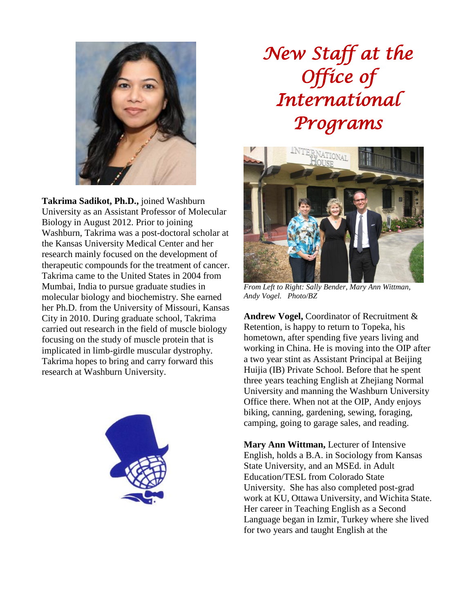

**Takrima Sadikot, Ph.D.,** joined Washburn University as an Assistant Professor of Molecular Biology in August 2012. Prior to joining Washburn, Takrima was a post-doctoral scholar at the Kansas University Medical Center and her research mainly focused on the development of therapeutic compounds for the treatment of cancer. Takrima came to the United States in 2004 from Mumbai, India to pursue graduate studies in molecular biology and biochemistry. She earned her Ph.D. from the University of Missouri, Kansas City in 2010. During graduate school, Takrima carried out research in the field of muscle biology focusing on the study of muscle protein that is implicated in limb-girdle muscular dystrophy. Takrima hopes to bring and carry forward this research at Washburn University.



# *New Staff at the Office of International Programs*



*From Left to Right: Sally Bender, Mary Ann Wittman, Andy Vogel. Photo/BZ*

**Andrew Vogel,** Coordinator of Recruitment & Retention, is happy to return to Topeka, his hometown, after spending five years living and working in China. He is moving into the OIP after a two year stint as Assistant Principal at Beijing Huijia (IB) Private School. Before that he spent three years teaching English at Zhejiang Normal University and manning the Washburn University Office there. When not at the OIP, Andy enjoys biking, canning, gardening, sewing, foraging, camping, going to garage sales, and reading.

**Mary Ann Wittman,** Lecturer of Intensive English, holds a B.A. in Sociology from Kansas State University, and an MSEd. in Adult Education/TESL from Colorado State University. She has also completed post-grad work at KU, Ottawa University, and Wichita State. Her career in Teaching English as a Second Language began in Izmir, Turkey where she lived for two years and taught English at the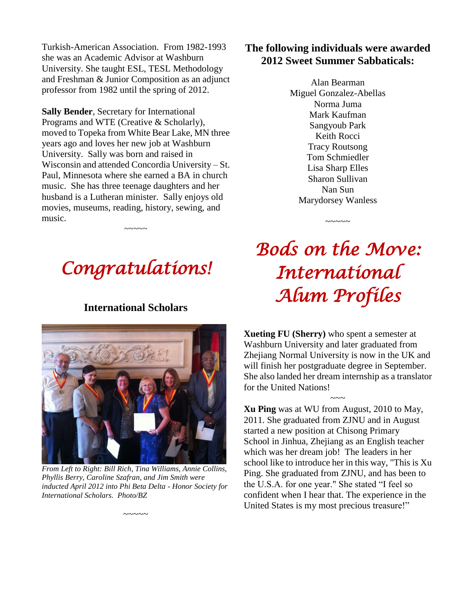Turkish-American Association. From 1982-1993 she was an Academic Advisor at Washburn University. She taught ESL, TESL Methodology and Freshman & Junior Composition as an adjunct professor from 1982 until the spring of 2012.

**Sally Bender**, Secretary for International Programs and WTE (Creative & Scholarly), moved to Topeka from White Bear Lake, MN three years ago and loves her new job at Washburn University. Sally was born and raised in Wisconsin and attended Concordia University – St. Paul, Minnesota where she earned a BA in church music. She has three teenage daughters and her husband is a Lutheran minister. Sally enjoys old movies, museums, reading, history, sewing, and music.

# *Congratulations!*

~~~~~

### **International Scholars**



*From Left to Right: Bill Rich, Tina Williams, Annie Collins, Phyllis Berry, Caroline Szafran, and Jim Smith were inducted April 2012 into Phi Beta Delta - Honor Society for International Scholars. Photo/BZ*

~~~~~

## **The following individuals were awarded 2012 Sweet Summer Sabbaticals:**

Alan Bearman Miguel Gonzalez-Abellas Norma Juma Mark Kaufman Sangyoub Park Keith Rocci Tracy Routsong Tom Schmiedler Lisa Sharp Elles Sharon Sullivan Nan Sun Marydorsey Wanless

# *Bods on the Move: International Alum Profiles*

~~~~~

**Xueting FU (Sherry)** who spent a semester at Washburn University and later graduated from Zhejiang Normal University is now in the UK and will finish her postgraduate degree in September. She also landed her dream internship as a translator for the United Nations!

 $\sim\sim\sim$ 

**Xu Ping** was at WU from August, 2010 to May, 2011. She graduated from ZJNU and in August started a new position at Chisong Primary School in Jinhua, Zhejiang as an English teacher which was her dream job! The leaders in her school like to introduce her in this way, "This is Xu Ping. She graduated from ZJNU, and has been to the U.S.A. for one year." She stated "I feel so confident when I hear that. The experience in the United States is my most precious treasure!"